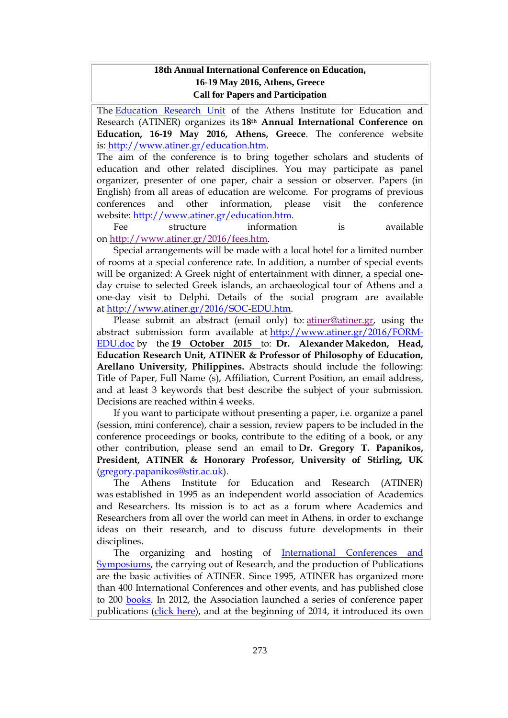# **18th Annual International Conference on Education, 16-19 May 2016, Athens, Greece Call for Papers and Participation**

The [Education Research Unit](http://www.atiner.gr/docs/EDUCATION_UNIT.htm) of the Athens Institute for Education and Research (ATINER) organizes its **18th Annual International Conference on Education, 16-19 May 2016, Athens, Greece**. The conference website is: [http://www.atiner.gr/education.htm.](http://www.atiner.gr/education.htm)

The aim of the conference is to bring together scholars and students of education and other related disciplines. You may participate as panel organizer, presenter of one paper, chair a session or observer. Papers (in English) from all areas of education are welcome. For programs of previous conferences and other information, please visit the conference website: [http://www.atiner.gr/education.htm.](http://www.atiner.gr/education.htm)

Fee structure information is available on [http://www.atiner.gr/2016/fees.htm.](http://www.atiner.gr/2016/fees.htm)

Special arrangements will be made with a local hotel for a limited number of rooms at a special conference rate. In addition, a number of special events will be organized: A Greek night of entertainment with dinner, a special oneday cruise to selected Greek islands, an archaeological tour of Athens and a one-day visit to Delphi. Details of the social program are available at [http://www.atiner.gr/2016/SOC-EDU.htm.](http://www.atiner.gr/2016/SOC-EDU.htm)

Please submit an abstract (email only) to: [atiner@atiner.gr,](mailto:atiner@atiner.gr) using the abstract submission form available at [http://www.atiner.gr/2016/FORM-](http://www.atiner.gr/2016/FORM-EDU.doc)[EDU.doc](http://www.atiner.gr/2016/FORM-EDU.doc) by the **19 October 2015** to: **Dr. Alexander Makedon, Head, Education Research Unit, ATINER & Professor of Philosophy of Education, Arellano University, Philippines.** Abstracts should include the following: Title of Paper, Full Name (s), Affiliation, Current Position, an email address, and at least 3 keywords that best describe the subject of your submission. Decisions are reached within 4 weeks.

If you want to participate without presenting a paper, i.e. organize a panel (session, mini conference), chair a session, review papers to be included in the conference proceedings or books, contribute to the editing of a book, or any other contribution, please send an email to **Dr. Gregory T. Papanikos, President, ATINER & Honorary Professor, University of Stirling, UK** [\(gregory.papanikos@stir.ac.uk\)](mailto:gregory.papanikos@stir.ac.uk).

The Athens Institute for Education and Research (ATINER) was established in 1995 as an independent world association of Academics and Researchers. Its mission is to act as a forum where Academics and Researchers from all over the world can meet in Athens, in order to exchange ideas on their research, and to discuss future developments in their disciplines.

The organizing and hosting of [International Conferences and](http://www.atiner.gr/Conferences.htm)  [Symposiums,](http://www.atiner.gr/Conferences.htm) the carrying out of Research, and the production of Publications are the basic activities of ATINER. Since 1995, ATINER has organized more than 400 International Conferences and other events, and has published close to 200 [books.](http://www.atiner.gr/Publications.htm) In 2012, the Association launched a series of conference paper publications [\(click here\)](http://www.atiner.gr/papers.htm), and at the beginning of 2014, it introduced its own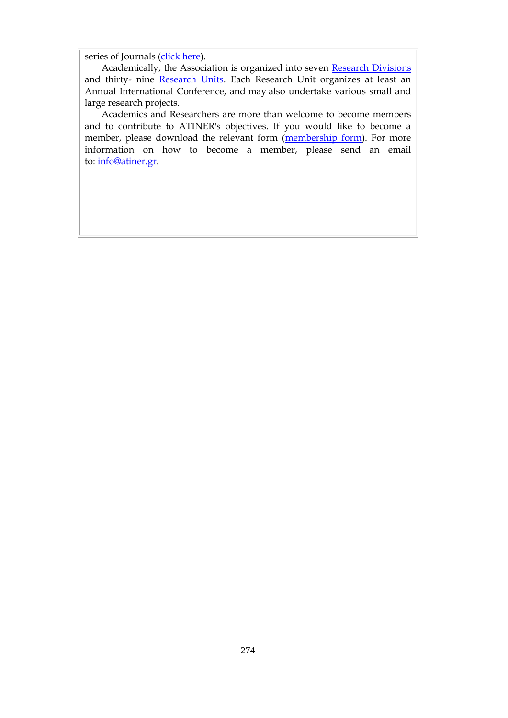series of Journals [\(click here\)](http://www.athensjournals.gr/).

Academically, the Association is organized into seven [Research Divisions](http://www.atiner.gr/RESEARCH-DIVISIONS.htm) and thirty- nine [Research Units.](http://www.atiner.gr/RESEARCH-DIVISIONS.htm) Each Research Unit organizes at least an Annual International Conference, and may also undertake various small and large research projects.

Academics and Researchers are more than welcome to become members and to contribute to ATINER's objectives. If you would like to become a member, please download the relevant form [\(membership form\)](http://www.atiner.gr/docs/MEMBER_FORM.doc). For more information on how to become a member, please send an email to: [info@atiner.gr.](mailto:info@atiner.gr)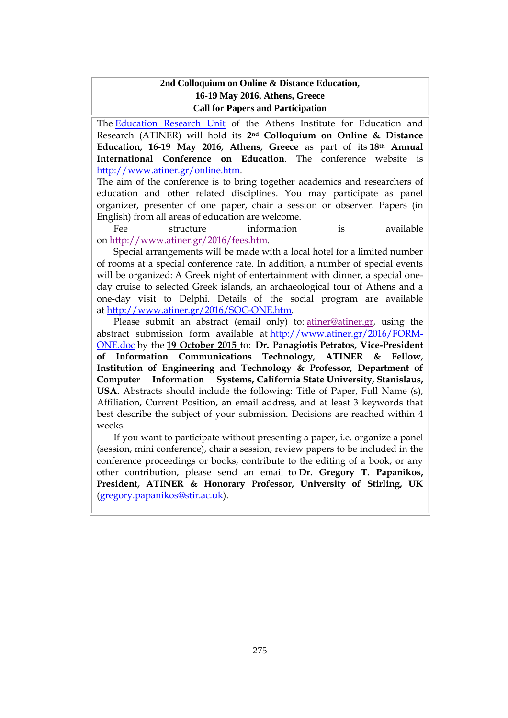#### **2nd Colloquium on Online & Distance Education, 16-19 May 2016, Athens, Greece Call for Papers and Participation**

The [Education Research Unit](http://www.atiner.gr/docs/EDUCATION_UNIT.htm) of the Athens Institute for Education and Research (ATINER) will hold its **2nd Colloquium on Online & Distance Education, 16-19 May 2016, Athens, Greece** as part of its **18th Annual International Conference on Education**. The conference website is [http://www.atiner.gr/online.htm.](http://www.atiner.gr/online.htm)

The aim of the conference is to bring together academics and researchers of education and other related disciplines. You may participate as panel organizer, presenter of one paper, chair a session or observer. Papers (in English) from all areas of education are welcome.

Fee structure information is available on [http://www.atiner.gr/2016/fees.htm.](http://www.atiner.gr/2016/fees.htm)

Special arrangements will be made with a local hotel for a limited number of rooms at a special conference rate. In addition, a number of special events will be organized: A Greek night of entertainment with dinner, a special oneday cruise to selected Greek islands, an archaeological tour of Athens and a one-day visit to Delphi. Details of the social program are available at [http://www.atiner.gr/2016/SOC-ONE.htm.](http://www.atiner.gr/2016/SOC-ONE.htm)

Please submit an abstract (email only) to: [atiner@atiner.gr,](mailto:atiner@atiner.gr) using the abstract submission form available at [http://www.atiner.gr/2016/FORM-](http://www.atiner.gr/2016/FORM-ONE.doc)[ONE.doc](http://www.atiner.gr/2016/FORM-ONE.doc) by the **19 October 2015** to: **Dr. Panagiotis Petratos, Vice-President of Information Communications Technology, ATINER & Fellow, Institution of Engineering and Technology & Professor, Department of Computer Information Systems, California State University, Stanislaus, USA.** Abstracts should include the following: Title of Paper, Full Name (s), Affiliation, Current Position, an email address, and at least 3 keywords that best describe the subject of your submission. Decisions are reached within 4 weeks.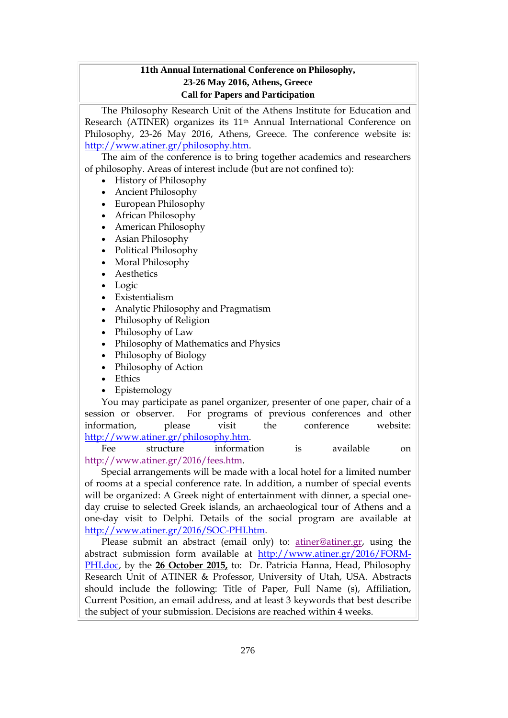# **11th Annual International Conference on Philosophy, 23-26 May 2016, Athens, Greece Call for Papers and Participation**

The Philosophy Research Unit of the Athens Institute for Education and Research (ATINER) organizes its 11th Annual International Conference on Philosophy, 23-26 May 2016, Athens, Greece. The conference website is: [http://www.atiner.gr/philosophy.htm.](http://www.atiner.gr/philosophy.htm)

The aim of the conference is to bring together academics and researchers of philosophy. Areas of interest include (but are not confined to):

- History of Philosophy
- Ancient Philosophy
- European Philosophy
- African Philosophy
- American Philosophy
- Asian Philosophy
- Political Philosophy
- Moral Philosophy
- Aesthetics
- Logic
- Existentialism
- Analytic Philosophy and Pragmatism
- Philosophy of Religion
- Philosophy of Law
- Philosophy of Mathematics and Physics
- Philosophy of Biology
- Philosophy of Action
- Ethics
- Epistemology

You may participate as panel organizer, presenter of one paper, chair of a session or observer. For programs of previous conferences and other information, please visit the conference website: [http://www.atiner.gr/philosophy.htm.](http://www.atiner.gr/philosophy.htm)

Fee structure information is available on [http://www.atiner.gr/2016/fees.htm.](http://www.atiner.gr/2016/fees.htm)

Special arrangements will be made with a local hotel for a limited number of rooms at a special conference rate. In addition, a number of special events will be organized: A Greek night of entertainment with dinner, a special oneday cruise to selected Greek islands, an archaeological tour of Athens and a one-day visit to Delphi. Details of the social program are available at [http://www.atiner.gr/2016/SOC-PHI.htm.](http://www.atiner.gr/2016/SOC-PHI.htm)

Please submit an abstract (email only) to: [atiner@atiner.gr,](mailto:atiner@atiner.gr) using the abstract submission form available at [http://www.atiner.gr/2016/FORM-](http://www.atiner.gr/2016/FORM-PHI.doc)[PHI.doc,](http://www.atiner.gr/2016/FORM-PHI.doc) by the **26 October 2015,** to: Dr. Patricia Hanna, Head, Philosophy Research Unit of ATINER & Professor, University of Utah, USA. Abstracts should include the following: Title of Paper, Full Name (s), Affiliation, Current Position, an email address, and at least 3 keywords that best describe the subject of your submission. Decisions are reached within 4 weeks.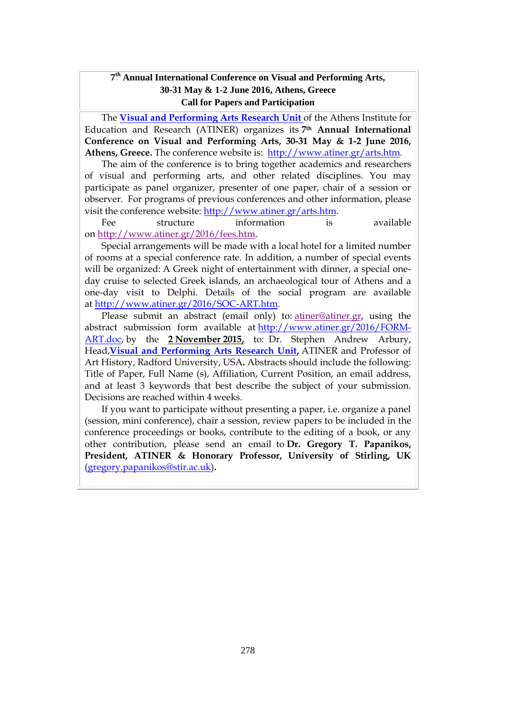# **7 th Annual International Conference on Visual and Performing Arts, 30-31 May & 1-2 June 2016, Athens, Greece Call for Papers and Participation**

The **[Visual and Performing Arts Research Unit](http://www.atiner.gr/ARTS-UNIT.htm)** of the Athens Institute for Education and Research (ATINER) organizes its **7th Annual International Conference on Visual and Performing Arts, 30-31 May & 1-2 June 2016, Athens, Greece.** The conference website is: [http://www.atiner.gr/arts.htm.](http://www.atiner.gr/arts.htm)

The aim of the conference is to bring together academics and researchers of visual and performing arts, and other related disciplines. You may participate as panel organizer, presenter of one paper, chair of a session or observer. For programs of previous conferences and other information, please visit the conference website: [http://www.atiner.gr/arts.htm.](http://www.atiner.gr/arts.htm)

Fee structure information is available on [http://www.atiner.gr/2016/fees.htm.](http://www.atiner.gr/2016/fees.htm)

Special arrangements will be made with a local hotel for a limited number of rooms at a special conference rate. In addition, a number of special events will be organized: A Greek night of entertainment with dinner, a special oneday cruise to selected Greek islands, an archaeological tour of Athens and a one-day visit to Delphi. Details of the social program are available at [http://www.atiner.gr/2016/SOC-ART.htm.](http://www.atiner.gr/2016/SOC-ART.htm)

Please submit an abstract (email only) to: [atiner@atiner.gr,](mailto:atiner@atiner.gr) using the abstract submission form available at [http://www.atiner.gr/2016/FORM-](http://www.atiner.gr/2016/FORM-ART.doc)[ART.doc,](http://www.atiner.gr/2016/FORM-ART.doc) by the **2 November 2015,** to: Dr. Stephen Andrew Arbury, Head,**[Visual and Performing Arts Research Unit,](http://www.atiner.gr/docs/ARTS_UNIT.htm)** ATINER and Professor of Art History, Radford University, USA**.** Abstracts should include the following: Title of Paper, Full Name (s), Affiliation, Current Position, an email address, and at least 3 keywords that best describe the subject of your submission. Decisions are reached within 4 weeks.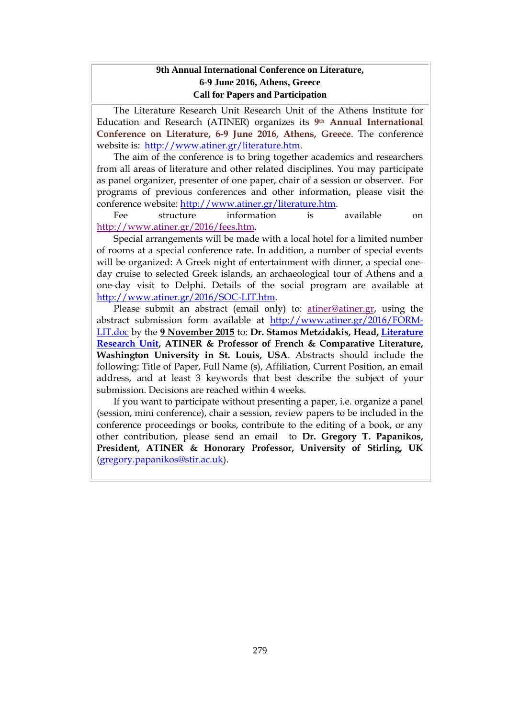# **9th Annual International Conference on Literature, 6-9 June 2016, Athens, Greece Call for Papers and Participation**

The Literature Research Unit Research Unit of the Athens Institute for Education and Research (ATINER) organizes its **9th Annual International Conference on Literature, 6-9 June 2016, Athens, Greece**. The conference website is: [http://www.atiner.gr/literature.htm.](http://www.atiner.gr/literature.htm)

The aim of the conference is to bring together academics and researchers from all areas of literature and other related disciplines. You may participate as panel organizer, presenter of one paper, chair of a session or observer. For programs of previous conferences and other information, please visit the conference website: [http://www.atiner.gr/literature.htm.](http://www.atiner.gr/literature.htm)

Fee structure information is available on [http://www.atiner.gr/2016/fees.htm.](http://www.atiner.gr/2016/fees.htm)

Special arrangements will be made with a local hotel for a limited number of rooms at a special conference rate. In addition, a number of special events will be organized: A Greek night of entertainment with dinner, a special oneday cruise to selected Greek islands, an archaeological tour of Athens and a one-day visit to Delphi. Details of the social program are available at [http://www.atiner.gr/2016/SOC-LIT.htm.](http://www.atiner.gr/2016/SOC-LIT.htm)

Please submit an abstract (email only) to: [atiner@atiner.gr,](mailto:atiner@atiner.gr) using the abstract submission form available at [http://www.atiner.gr/2016/FORM-](http://www.atiner.gr/2016/FORM-LIT.doc)[LIT.doc](http://www.atiner.gr/2016/FORM-LIT.doc) by the **9 November 2015** to: **Dr. Stamos Metzidakis, Head, [Literature](http://www.atiner.gr/LITERATURE-UNIT.htm)  [Research Unit,](http://www.atiner.gr/LITERATURE-UNIT.htm) ATINER & Professor of French & Comparative Literature, Washington University in St. Louis, USA**. Abstracts should include the following: Title of Paper, Full Name (s), Affiliation, Current Position, an email address, and at least 3 keywords that best describe the subject of your submission. Decisions are reached within 4 weeks.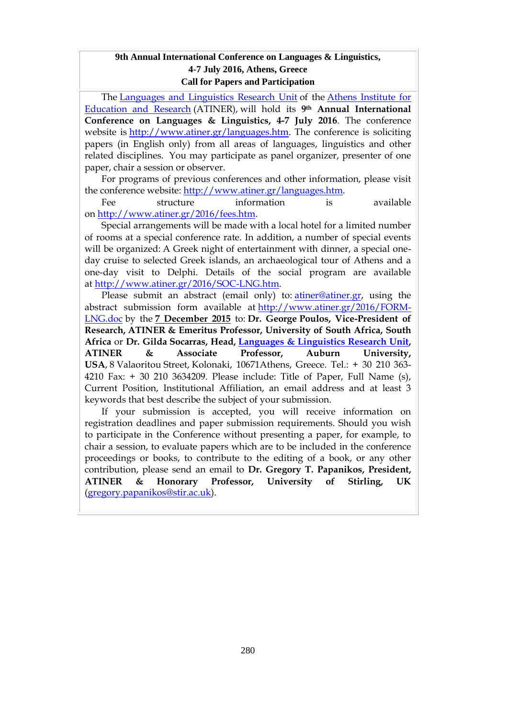#### **9th Annual International Conference on Languages & Linguistics, 4-7 July 2016, Athens, Greece Call for Papers and Participation**

The [Languages and Linguistics Research Unit](http://www.atiner.gr/LANGUAGE-UNIT.htm) of the [Athens Institute for](http://www.atiner.gr/)  [Education and Research](http://www.atiner.gr/) (ATINER), will hold its **9th Annual International Conference on Languages & Linguistics, 4-7 July 2016**. The conference website is [http://www.atiner.gr/languages.htm.](http://www.atiner.gr/languages.htm) The conference is soliciting papers (in English only) from all areas of languages, linguistics and other related disciplines. You may participate as panel organizer, presenter of one paper, chair a session or observer.

For programs of previous conferences and other information, please visit the conference website: [http://www.atiner.gr/languages.htm.](http://www.atiner.gr/languages.htm)

Fee structure information is available on [http://www.atiner.gr/2016/fees.htm.](http://www.atiner.gr/2016/fees.htm)

Special arrangements will be made with a local hotel for a limited number of rooms at a special conference rate. In addition, a number of special events will be organized: A Greek night of entertainment with dinner, a special oneday cruise to selected Greek islands, an archaeological tour of Athens and a one-day visit to Delphi. Details of the social program are available at [http://www.atiner.gr/2016/SOC-LNG.htm.](http://www.atiner.gr/2016/SOC-LNG.htm)

Please submit an abstract (email only) to: [atiner@atiner.gr,](mailto:atiner@atiner.gr) using the abstract submission form available at [http://www.atiner.gr/2016/FORM-](http://www.atiner.gr/2016/FORM-LNG.doc)[LNG.doc](http://www.atiner.gr/2016/FORM-LNG.doc) by the **7 December 2015** to: **Dr. George Poulos, Vice-President of Research, ATINER & Emeritus Professor, University of South Africa, South Africa** or **Dr. Gilda Socarras, Head, [Languages & Linguistics Research Unit,](http://www.atiner.gr/docs/LANGUAGES_UNIT.htm) ATINER & Associate Professor, Auburn University, USA**, 8 Valaoritou Street, Kolonaki, 10671Athens, Greece. Tel.: + 30 210 363- 4210 Fax: + 30 210 3634209. Please include: Title of Paper, Full Name (s), Current Position, Institutional Affiliation, an email address and at least 3 keywords that best describe the subject of your submission.

If your submission is accepted, you will receive information on registration deadlines and paper submission requirements. Should you wish to participate in the Conference without presenting a paper, for example, to chair a session, to evaluate papers which are to be included in the conference proceedings or books, to contribute to the editing of a book, or any other contribution, please send an email to **Dr. Gregory T. Papanikos, President, ATINER & Honorary Professor, University of Stirling, UK** [\(gregory.papanikos@stir.ac.uk\)](mailto:gregory.papanikos@stir.ac.uk).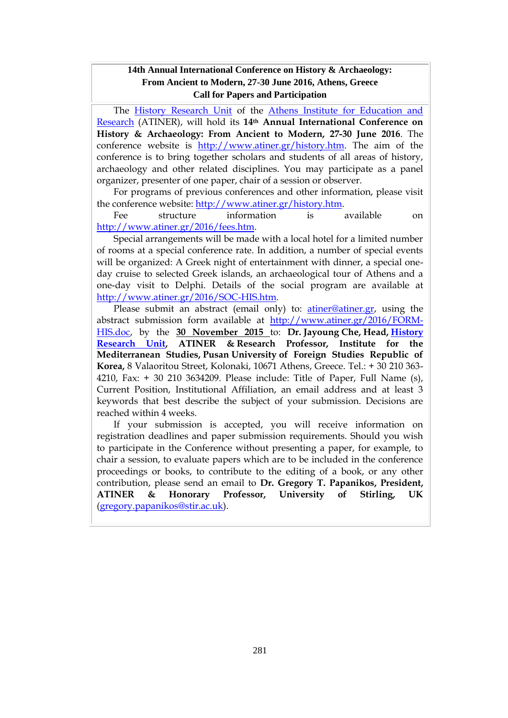#### **14th Annual International Conference on History & Archaeology: From Ancient to Modern, 27-30 June 2016, Athens, Greece Call for Papers and Participation**

The [History Research Unit](http://www.atiner.gr/docs/HISTORY_UNIT.htm) of the [Athens Institute for Education and](http://www.atiner.gr/)  [Research](http://www.atiner.gr/) (ATINER), will hold its **14th Annual International Conference on History & Archaeology: From Ancient to Modern, 27-30 June 2016**. The conference website is [http://www.atiner.gr/history.htm.](http://www.atiner.gr/history.htm) The aim of the conference is to bring together scholars and students of all areas of history, archaeology and other related disciplines. You may participate as a panel organizer, presenter of one paper, chair of a session or observer.

For programs of previous conferences and other information, please visit the conference website: [http://www.atiner.gr/history.htm.](http://www.atiner.gr/history.htm)

Fee structure information is available on [http://www.atiner.gr/2016/fees.htm.](http://www.atiner.gr/2016/fees.htm)

Special arrangements will be made with a local hotel for a limited number of rooms at a special conference rate. In addition, a number of special events will be organized: A Greek night of entertainment with dinner, a special oneday cruise to selected Greek islands, an archaeological tour of Athens and a one-day visit to Delphi. Details of the social program are available at [http://www.atiner.gr/2016/SOC-HIS.htm.](http://www.atiner.gr/2016/SOC-HIS.htm)

Please submit an abstract (email only) to: **atiner@atiner.gr**, using the abstract submission form available at [http://www.atiner.gr/2016/FORM-](http://www.atiner.gr/2016/FORM-HIS.doc)[HIS.doc,](http://www.atiner.gr/2016/FORM-HIS.doc) by the **30 November 2015** to: **Dr. Jayoung Che, Head, [History](http://www.atiner.gr/docs/HISTORY_UNIT.htm)  [Research Unit,](http://www.atiner.gr/docs/HISTORY_UNIT.htm) ATINER & Research Professor, Institute for the Mediterranean Studies, Pusan University of Foreign Studies Republic of Korea,** 8 Valaoritou Street, Kolonaki, 10671 Athens, Greece. Tel.: + 30 210 363- 4210, Fax: + 30 210 3634209. Please include: Title of Paper, Full Name (s), Current Position, Institutional Affiliation, an email address and at least 3 keywords that best describe the subject of your submission. Decisions are reached within 4 weeks.

If your submission is accepted, you will receive information on registration deadlines and paper submission requirements. Should you wish to participate in the Conference without presenting a paper, for example, to chair a session, to evaluate papers which are to be included in the conference proceedings or books, to contribute to the editing of a book, or any other contribution, please send an email to **Dr. Gregory T. Papanikos, President, ATINER & Honorary Professor, University of Stirling, UK** [\(gregory.papanikos@stir.ac.uk\)](mailto:gregory.papanikos@stir.ac.uk).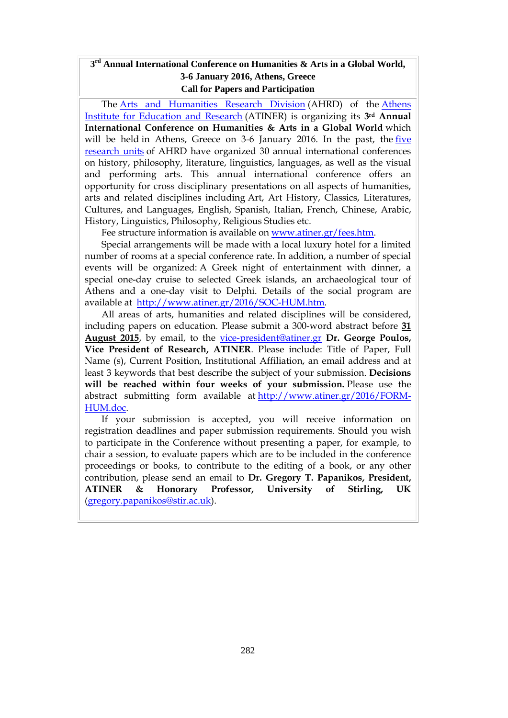#### **3 rd Annual International Conference on Humanities & Arts in a Global World, 3-6 January 2016, Athens, Greece Call for Papers and Participation**

The [Arts and Humanities Research Division](http://www.atiner.gr/AHRD.htm) (AHRD) of the [Athens](http://www.atiner.gr/)  [Institute for Education and Research](http://www.atiner.gr/) (ATINER) is organizing its **3rd Annual International Conference on Humanities & Arts in a Global World** which will be held in Athens, Greece on 3-6 January 2016. In the past, the [five](http://www.atiner.gr/AHRD.htm)  [research units](http://www.atiner.gr/AHRD.htm) of AHRD have organized 30 annual international conferences on history, philosophy, literature, linguistics, languages, as well as the visual and performing arts. This annual international conference offers an opportunity for cross disciplinary presentations on all aspects of humanities, arts and related disciplines including Art, Art History, Classics, Literatures, Cultures, and Languages, English, Spanish, Italian, French, Chinese, Arabic, History, Linguistics, Philosophy, Religious Studies etc.

Fee structure information is available on [www.atiner.gr/fees.htm.](http://www.atiner.gr/fees.htm)

Special arrangements will be made with a local luxury hotel for a limited number of rooms at a special conference rate. In addition, a number of special events will be organized: A Greek night of entertainment with dinner, a special one-day cruise to selected Greek islands, an archaeological tour of Athens and a one-day visit to Delphi. Details of the social program are available at [http://www.atiner.gr/2016/SOC-HUM.htm.](http://www.atiner.gr/2016/SOC-HUM.htm)

All areas of arts, humanities and related disciplines will be considered, including papers on education. Please submit a 300-word abstract before **31 August 2015**, by email, to the [vice-president@atiner.gr](mailto:vice-president@atiner.gr) **Dr. George Poulos, Vice President of Research, ATINER**. Please include: Title of Paper, Full Name (s), Current Position, Institutional Affiliation, an email address and at least 3 keywords that best describe the subject of your submission. **Decisions will be reached within four weeks of your submission.** Please use the abstract submitting form available at [http://www.atiner.gr/2016/FORM-](http://www.atiner.gr/2016/FORM-HUM.doc)[HUM.doc.](http://www.atiner.gr/2016/FORM-HUM.doc)

If your submission is accepted, you will receive information on registration deadlines and paper submission requirements. Should you wish to participate in the Conference without presenting a paper, for example, to chair a session, to evaluate papers which are to be included in the conference proceedings or books, to contribute to the editing of a book, or any other contribution, please send an email to **Dr. Gregory T. Papanikos, President, ATINER & Honorary Professor, University of Stirling, UK** [\(gregory.papanikos@stir.ac.uk\)](mailto:gregory.papanikos@stir.ac.uk).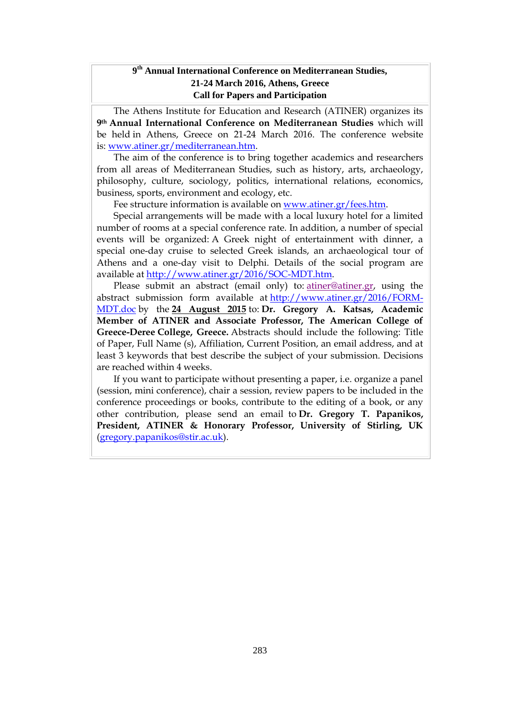# **9 th Annual International Conference on Mediterranean Studies, 21-24 March 2016, Athens, Greece Call for Papers and Participation**

The Athens Institute for Education and Research (ATINER) organizes its **9th Annual International Conference on Mediterranean Studies** which will be held in Athens, Greece on 21-24 March 2016. The conference website is: [www.atiner.gr/mediterranean.htm.](http://www.atiner.gr/mediterranean.htm)

The aim of the conference is to bring together academics and researchers from all areas of Mediterranean Studies, such as history, arts, archaeology, philosophy, culture, sociology, politics, international relations, economics, business, sports, environment and ecology, etc.

Fee structure information is available on [www.atiner.gr/fees.htm.](http://www.atiner.gr/fees.htm)

Special arrangements will be made with a local luxury hotel for a limited number of rooms at a special conference rate. In addition, a number of special events will be organized: A Greek night of entertainment with dinner, a special one-day cruise to selected Greek islands, an archaeological tour of Athens and a one-day visit to Delphi. Details of the social program are available at [http://www.atiner.gr/2016/SOC-MDT.htm.](http://www.atiner.gr/2016/SOC-MDT.htm)

Please submit an abstract (email only) to: [atiner@atiner.gr,](mailto:atiner@atiner.gr) using the abstract submission form available at [http://www.atiner.gr/2016/FORM-](http://www.atiner.gr/2016/FORM-MDT.doc)[MDT.doc](http://www.atiner.gr/2016/FORM-MDT.doc) by the **24 August 2015** to: **Dr. Gregory A. Katsas, Academic Member of ATINER and Associate Professor, The American College of Greece-Deree College, Greece.** Abstracts should include the following: Title of Paper, Full Name (s), Affiliation, Current Position, an email address, and at least 3 keywords that best describe the subject of your submission. Decisions are reached within 4 weeks.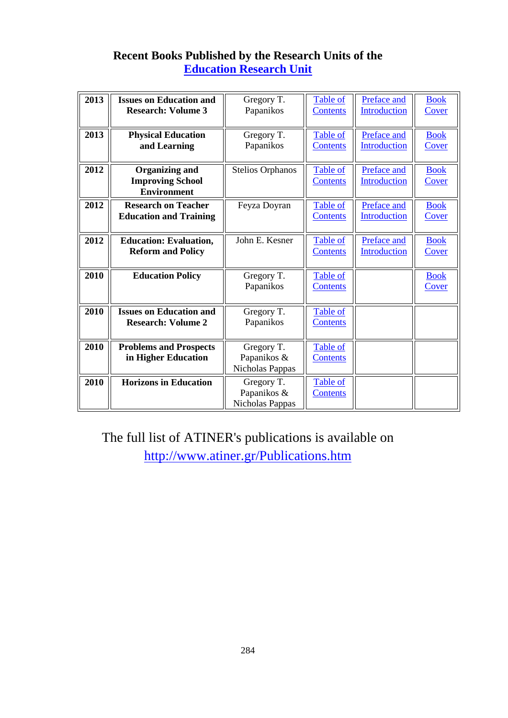# **Recent Books Published by the Research Units of the [Education Research Unit](http://www.atiner.gr/docs/EDUCATION_UNIT.htm)**

| 2013 | <b>Issues on Education and</b><br><b>Research: Volume 3</b>            | Gregory T.<br>Papanikos                      | Table of<br>Contents               | Preface and<br><b>Introduction</b> | <b>Book</b><br>Cover |
|------|------------------------------------------------------------------------|----------------------------------------------|------------------------------------|------------------------------------|----------------------|
| 2013 | <b>Physical Education</b><br>and Learning                              | Gregory T.<br>Papanikos                      | <b>Table of</b><br><b>Contents</b> | Preface and<br>Introduction        | <b>Book</b><br>Cover |
| 2012 | <b>Organizing and</b><br><b>Improving School</b><br><b>Environment</b> | <b>Stelios Orphanos</b>                      | Table of<br>Contents               | Preface and<br>Introduction        | <b>Book</b><br>Cover |
| 2012 | <b>Research on Teacher</b><br><b>Education and Training</b>            | Feyza Doyran                                 | Table of<br><b>Contents</b>        | Preface and<br>Introduction        | <b>Book</b><br>Cover |
| 2012 | <b>Education: Evaluation,</b><br><b>Reform and Policy</b>              | John E. Kesner                               | Table of<br>Contents               | Preface and<br>Introduction        | <b>Book</b><br>Cover |
| 2010 | <b>Education Policy</b>                                                | Gregory T.<br>Papanikos                      | Table of<br><b>Contents</b>        |                                    | <b>Book</b><br>Cover |
| 2010 | <b>Issues on Education and</b><br><b>Research: Volume 2</b>            | Gregory T.<br>Papanikos                      | Table of<br><b>Contents</b>        |                                    |                      |
| 2010 | <b>Problems and Prospects</b><br>in Higher Education                   | Gregory T.<br>Papanikos &<br>Nicholas Pappas | Table of<br><b>Contents</b>        |                                    |                      |
| 2010 | <b>Horizons in Education</b>                                           | Gregory T.<br>Papanikos &<br>Nicholas Pappas | Table of<br><b>Contents</b>        |                                    |                      |

# The full list of ATINER's publications is available on <http://www.atiner.gr/Publications.htm>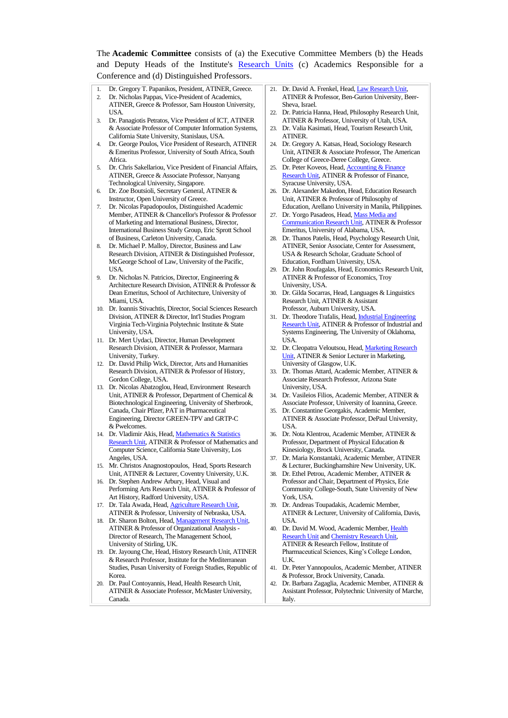The **Academic Committee** consists of (a) the Executive Committee Members (b) the Heads and Deputy Heads of the Institute's [Research Units](http://www.atiner.gr/RESEARCH-DIVISIONS.htm) (c) Academics Responsible for a Conference and (d) Distinguished Professors.

- 1. Dr. Gregory T. Papanikos, President, ATINER, Greece.
- 2. Dr. Nicholas Pappas, Vice-President of Academics, ATINER, Greece & Professor, Sam Houston University, USA.
- 3. Dr. Panagiotis Petratos, Vice President of ICT, ATINER & Associate Professor of Computer Information Systems, California State University, Stanislaus, USA.
- 4. Dr. George Poulos, Vice President of Research, ATINER & Emeritus Professor, University of South Africa, South Africa.
- 5. Dr. Chris Sakellariou, Vice President of Financial Affairs, ATINER, Greece & Associate Professor, Nanyang Technological University, Singapore.
- 6. Dr. Zoe Boutsioli, Secretary General, ATINER & Instructor, Open University of Greece.

7. Dr. Nicolas Papadopoulos, Distinguished Academic Member, ATINER & Chancellor's Professor & Professor of Marketing and International Business, Director, International Business Study Group, Eric Sprott School of Business, Carleton University, Canada.

- 8. Dr. Michael P. Malloy, Director, Business and Law Research Division, ATINER & Distinguished Professor, McGeorge School of Law, University of the Pacific, **I**ISA.
- 9. Dr. Nicholas N. Patricios, Director, Engineering & Architecture Research Division, ATINER & Professor & Dean Emeritus, School of Architecture, University of Miami, USA.
- 10. Dr. Ioannis Stivachtis, Director, Social Sciences Research Division, ATINER & Director, Int'l Studies Program Virginia Tech-Virginia Polytechnic Institute & State University, USA.
- 11. Dr. Mert Uydaci, Director, Human Development Research Division, ATINER & Professor, Marmara University, Turkey.
- 12. Dr. David Philip Wick, Director, Arts and Humanities Research Division, ATINER & Professor of History, Gordon College, USA.
- 13. Dr. Nicolas Abatzoglou, Head, Environment Research Unit, ATINER & Professor, Department of Chemical & Biotechnological Engineering, University of Sherbrook, Canada, Chair Pfizer, PAT in Pharmaceutical Engineering, Director GREEN-TPV and GRTP-C & Pwelcomes.
- 14. Dr. Vladimir Akis, Head, Mathematics & Statistics [Research Unit,](http://www.atiner.gr/docs/MATHEMATICS_UNIT.htm) ATINER & Professor of Mathematics and Computer Science, California State University, Los Angeles, USA.
- 15. Mr. Christos Anagnostopoulos, Head, Sports Research Unit, ATINER & Lecturer, Coventry University, U.K.
- 16. Dr. Stephen Andrew Arbury, Head, Visual and Performing Arts Research Unit, ATINER & Professor of Art History, Radford University, USA.
- 17. Dr. Tala Awada, Head[, Agriculture Research Unit,](http://www.atiner.gr/AGRICULTURE_UNIT.htm)  ATINER & Professor, University of Nebraska, USA.
- 18. Dr. Sharon Bolton, Head, Management Research Unit ATINER & Professor of Organizational Analysis - Director of Research, The Management School, University of Stirling, UK.
- 19. Dr. Jayoung Che, Head, History Research Unit, ATINER & Research Professor, Institute for the Mediterranean Studies, Pusan University of Foreign Studies, Republic of Korea.
- 20. Dr. Paul Contoyannis, Head, Health Research Unit, ATINER & Associate Professor, McMaster University, Canada.
- 21. Dr. David A. Frenkel, Head[, Law Research Unit,](http://www.atiner.gr/docs/LAW_UNIT.htm)  ATINER & Professor, Ben-Gurion University, Beer-Sheva, Israel.
- 22. Dr. Patricia Hanna, Head, Philosophy Research Unit, ATINER & Professor, University of Utah, USA.
- 23. Dr. Valia Kasimati, Head, Tourism Research Unit, ATINER.
- 24. Dr. Gregory A. Katsas, Head, Sociology Research Unit, ATINER & Associate Professor, The American College of Greece-Deree College, Greece.
- 25. Dr. Peter Koveos, Head[, Accounting & Finance](http://www.atiner.gr/docs/ACCOUNTING_UNIT.htm)  [Research Unit,](http://www.atiner.gr/docs/ACCOUNTING_UNIT.htm) ATINER & Professor of Finance, Syracuse University, USA.
- 26. Dr. Alexander Makedon, Head, Education Research Unit, ATINER & Professor of Philosophy of Education, Arellano University in Manila, Philippines.
- 27. Dr. Yorgo Pasadeos, Head[, Mass Media and](http://www.atiner.gr/docs/MEDIA_UNIT.htm)  [Communication Research Unit,](http://www.atiner.gr/docs/MEDIA_UNIT.htm) ATINER & Professor Emeritus, University of Alabama, USA.
- 28. Dr. Thanos Patelis, Head, Psychology Research Unit, ATINER, Senior Associate, Center for Assessment, USA & Research Scholar, Graduate School of Education, Fordham University, USA.
- 29. Dr. John Roufagalas, Head, Economics Research Unit, ATINER & Professor of Economics, Troy University, USA.
- 30. Dr. Gilda Socarras, Head, Languages & Linguistics Research Unit, ATINER & Assistant Professor, Auburn University, USA.
- 31. Dr. Theodore Trafalis, Head[, Industrial Engineering](http://www.atiner.gr/INDUSTRIAL-UNIT.htm)  [Research Unit,](http://www.atiner.gr/INDUSTRIAL-UNIT.htm) ATINER & Professor of Industrial and Systems Engineering, The University of Oklahoma, USA.
- 32. Dr. Cleopatra Veloutsou, Head[, Marketing Research](http://www.atiner.gr/docs/MARKETING_UNIT.htm)  [Unit,](http://www.atiner.gr/docs/MARKETING_UNIT.htm) ATINER & Senior Lecturer in Marketing, University of Glasgow, U.K.
- 33. Dr. Thomas Attard, Academic Member, ATINER & Associate Research Professor, Arizona State University, USA.
- 34. Dr. Vasileios Filios, Academic Member, ATINER & Associate Professor, University of Ioannina, Greece.
- 35. Dr. Constantine Georgakis, Academic Member, ATINER & Associate Professor, DePaul University, USA.
- 36. Dr. Nota Klentrou, Academic Member, ATINER & Professor, Department of Physical Education & Kinesiology, Brock University, Canada.
- 37. Dr. Maria Konstantaki, Academic Member, ATINER & Lecturer, Buckinghamshire New University, UK.
- 38. Dr. Ethel Petrou, Academic Member, ATINER & Professor and Chair, Department of Physics, Erie Community College-South, State University of New York, USA.
- 39. Dr. Andreas Toupadakis, Academic Member, ATINER & Lecturer, University of California, Davis, **I**ISA.
- 40. Dr. David M. Wood, Academic Member, [Health](http://www.atiner.gr/docs/HEALTH_UNIT.htm)  [Research Unit](http://www.atiner.gr/docs/HEALTH_UNIT.htm) and [Chemistry Research Unit,](http://www.atiner.gr/CHEMISTRY-UNIT.htm)  ATINER & Research Fellow, Institute of Pharmaceutical Sciences, King's College London, U.K.
- 41. Dr. Peter Yannopoulos, Academic Member, ATINER & Professor, Brock University, Canada.
- 42. Dr. Barbara Zagaglia, Academic Member, ATINER & Assistant Professor, Polytechnic University of Marche, Italy.